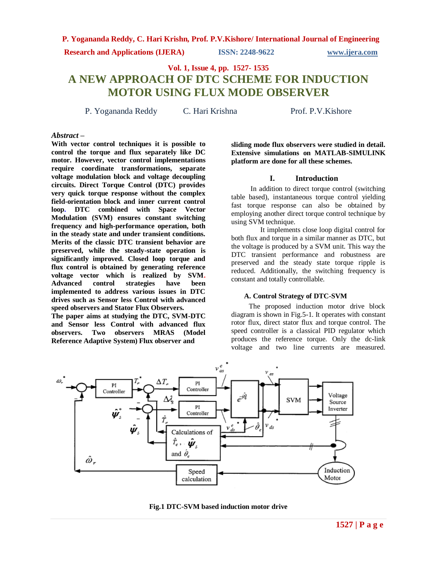**Research and Applications (IJERA) ISSN: 2248-9622 www.ijera.com**

**Vol. 1, Issue 4, pp. 1527- 1535**

# **A NEW APPROACH OF DTC SCHEME FOR INDUCTION MOTOR USING FLUX MODE OBSERVER**

P. Yogananda Reddy C. Hari Krishna Prof. P.V. Kishore

### *Abstract* **–**

**With vector control techniques it is possible to control the torque and flux separately like DC motor. However, vector control implementations require coordinate transformations, separate voltage modulation block and voltage decoupling circuits. Direct Torque Control (DTC) provides very quick torque response without the complex field-orientation block and inner current control loop. DTC combined with Space Vector Modulation (SVM) ensures constant switching frequency and high-performance operation, both in the steady state and under transient conditions. Merits of the classic DTC transient behavior are preserved, while the steady-state operation is significantly improved. Closed loop torque and flux control is obtained by generating reference voltage vector which is realized by SVM. Advanced control strategies have been implemented to address various issues in DTC drives such as Sensor less Control with advanced speed observers and Stator Flux Observers.** 

**The paper aims at studying the DTC, SVM-DTC and Sensor less Control with advanced flux observers. Two observers MRAS (Model Reference Adaptive System) Flux observer and** 

**sliding mode flux observers were studied in detail. Extensive simulations on MATLAB-SIMULINK platform are done for all these schemes.**

#### **I. Introduction**

In addition to direct torque control (switching table based), instantaneous torque control yielding fast torque response can also be obtained by employing another direct torque control technique by using SVM technique.

 It implements close loop digital control for both flux and torque in a similar manner as DTC, but the voltage is produced by a SVM unit. This way the DTC transient performance and robustness are preserved and the steady state torque ripple is reduced. Additionally, the switching frequency is constant and totally controllable.

### **A. Control Strategy of DTC-SVM**

 The proposed induction motor drive block diagram is shown in Fig.5-1. It operates with constant rotor flux, direct stator flux and torque control. The speed controller is a classical PID regulator which produces the reference torque. Only the dc-link voltage and two line currents are measured.



**Fig.1 DTC-SVM based induction motor drive**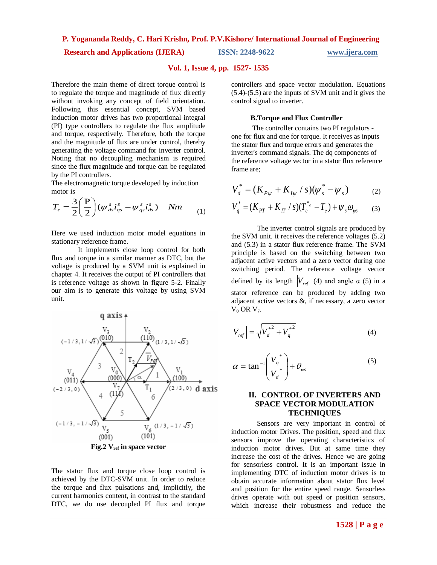# **Research and Applications (IJERA) ISSN: 2248-9622 www.ijera.com**

### **Vol. 1, Issue 4, pp. 1527- 1535**

Therefore the main theme of direct torque control is to regulate the torque and magnitude of flux directly without invoking any concept of field orientation. Following this essential concept, SVM based induction motor drives has two proportional integral (PI) type controllers to regulate the flux amplitude and torque, respectively. Therefore, both the torque and the magnitude of flux are under control, thereby generating the voltage command for inverter control. Noting that no decoupling mechanism is required since the flux magnitude and torque can be regulated by the PI controllers.

The electromagnetic torque developed by induction motor is

$$
T_e = \frac{3}{2} \left(\frac{P}{2}\right) \left(\psi_{ds}^s \dot{t}_{qs}^s - \psi_{qs}^s \dot{t}_{ds}^s\right) \quad Nm \tag{1}
$$

Here we used induction motor model equations in stationary reference frame.

 It implements close loop control for both flux and torque in a similar manner as DTC, but the voltage is produced by a SVM unit is explained in chapter 4. It receives the output of PI controllers that is reference voltage as shown in figure 5-2. Finally our aim is to generate this voltage by using SVM unit.



The stator flux and torque close loop control is achieved by the DTC-SVM unit. In order to reduce the torque and flux pulsations and, implicitly, the current harmonics content, in contrast to the standard DTC, we do use decoupled PI flux and torque controllers and space vector modulation. Equations (5.4)-(5.5) are the inputs of SVM unit and it gives the control signal to inverter.

#### **B.Torque and Flux Controller**

The controller contains two PI regulators one for flux and one for torque. It receives as inputs the stator flux and torque errors and generates the inverter's command signals. The dq components of the reference voltage vector in a stator flux reference frame are;

$$
V_d^* = (K_{P\psi} + K_{I\psi} / s)(\psi_s^* - \psi_s)
$$
 (2)

$$
V_q^* = (K_{PT} + K_{IT} / s)(T_e^{*} - T_e) + \psi_s \omega_{\psi s}
$$
 (3)

The inverter control signals are produced by the SVM unit. it receives the reference voltages (5.2) and (5.3) in a stator flux reference frame. The SVM principle is based on the switching between two adjacent active vectors and a zero vector during one switching period. The reference voltage vector defined by its length  $|V_{ref}|$  (4) and angle  $\alpha$  (5) in a stator reference can be produced by adding two adjacent active vectors &, if necessary, a zero vector  $V_0$  OR  $V_7$ .

$$
V_{ref} = \sqrt{{V_d^*}^2 + {V_q^*}^2}
$$
 (4)

$$
\alpha = \tan^{-1} \left( \frac{V_a^*}{V_a^*} \right) + \theta_{\psi s} \tag{5}
$$

### **II. CONTROL OF INVERTERS AND SPACE VECTOR MODULATION TECHNIQUES**

Sensors are very important in control of induction motor Drives. The position, speed and flux sensors improve the operating characteristics of induction motor drives. But at same time they increase the cost of the drives. Hence we are going for sensorless control. It is an important issue in implementing DTC of induction motor drives is to obtain accurate information about stator flux level and position for the entire speed range. Sensorless drives operate with out speed or position sensors, which increase their robustness and reduce the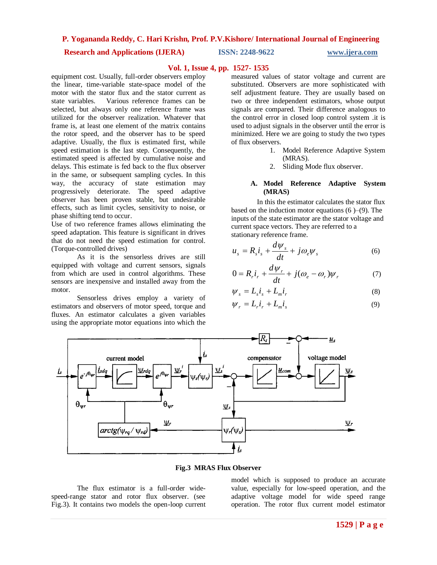#### **Research and Applications (IJERA) ISSN: 2248-9622 www.ijera.com**

#### **Vol. 1, Issue 4, pp. 1527- 1535**

equipment cost. Usually, full-order observers employ the linear, time-variable state-space model of the motor with the stator flux and the stator current as state variables. Various reference frames can be selected, but always only one reference frame was utilized for the observer realization. Whatever that frame is, at least one element of the matrix contains the rotor speed, and the observer has to be speed adaptive. Usually, the flux is estimated first, while speed estimation is the last step. Consequently, the estimated speed is affected by cumulative noise and delays. This estimate is fed back to the flux observer in the same, or subsequent sampling cycles. In this way, the accuracy of state estimation may progressively deteriorate. The speed adaptive observer has been proven stable, but undesirable effects, such as limit cycles, sensitivity to noise, or phase shifting tend to occur.

Use of two reference frames allows eliminating the speed adaptation. This feature is significant in drives that do not need the speed estimation for control. (Torque-controlled drives)

As it is the sensorless drives are still equipped with voltage and current sensors, signals from which are used in control algorithms. These sensors are inexpensive and installed away from the motor.

Sensorless drives employ a variety of estimators and observers of motor speed, torque and fluxes. An estimator calculates a given variables using the appropriate motor equations into which the

measured values of stator voltage and current are substituted. Observers are more sophisticated with self adjustment feature. They are usually based on two or three independent estimators, whose output signals are compared. Their difference analogous to the control error in closed loop control system .it is used to adjust signals in the observer until the error is minimized. Here we are going to study the two types of flux observers.

- 1. Model Reference Adaptive System (MRAS).
- 2. Sliding Mode flux observer.

#### **A. Model Reference Adaptive System (MRAS)**

In this the estimator calculates the stator flux based on the induction motor equations  $(6)$ – $(9)$ . The inputs of the state estimator are the stator voltage and current space vectors. They are referred to a stationary reference frame.

$$
u_s = R_s i_s + \frac{d\psi_s}{dt} + j\omega_e \psi_s \tag{6}
$$

$$
0 = R_r i_r + \frac{d\psi_r}{dt} + j(\omega_e - \omega_r)\psi_r
$$
 (7)

$$
\psi_s = L_s i_s + L_m i_r \tag{8}
$$

$$
\psi_r = L_r i_r + L_m i_s \tag{9}
$$



**Fig.3 MRAS Flux Observer**

The flux estimator is a full-order widespeed-range stator and rotor flux observer. (see Fig.3). It contains two models the open-loop current model which is supposed to produce an accurate value, especially for low-speed operation, and the adaptive voltage model for wide speed range operation. The rotor flux current model estimator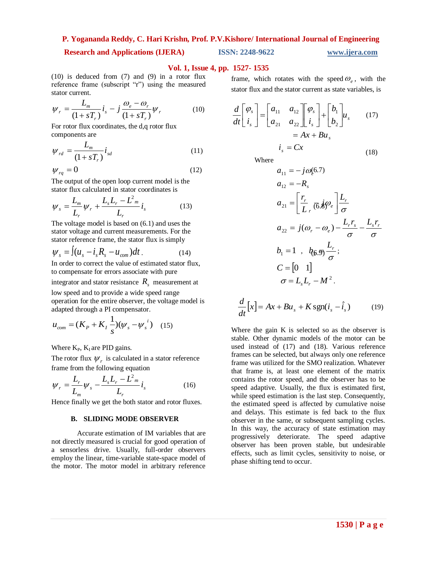# **Research and Applications (IJERA) ISSN: 2248-9622 www.ijera.com**

### **Vol. 1, Issue 4, pp. 1527- 1535**

(10) is deduced from (7) and (9) in a rotor flux reference frame (subscript "r") using the measured stator current.

$$
\psi_r = \frac{L_m}{(1+sT_r)}i_s - j\frac{\omega_e - \omega_r}{(1+sT_r)}\psi_r
$$
 (10)

For rotor flux coordinates, the d,q rotor flux components are

$$
\psi_{rd} = \frac{L_m}{(1 + sT_r)} i_{sd} \tag{11}
$$

$$
\psi_{rq} = 0 \tag{12} \qquad \qquad a_{11} = -j\omega_{e}^{(6.7)}
$$

The output of the open loop current model is the stator flux calculated in stator coordinates is

$$
\psi_s = \frac{L_m}{L_r} \psi_r + \frac{L_s L_r - L_m^2}{L_r} i_s \qquad (13) \qquad a_{21} = \left[ \frac{r_r}{L_r} \overline{(6.8)} \psi_e \right]
$$

The voltage model is based on (6.1) and uses the stator voltage and current measurements. For the stator reference frame, the stator flux is simply

$$
\psi_s = \int (u_s - i_s R_s - u_{com}) dt.
$$
 (14)  $b_1 = 1$ ,  $b_6 = 1$ 

In order to correct the value of estimated stator flux, to compensate for errors associate with pure

integrator and stator resistance *Rs* measurement at

low speed and to provide a wide speed range operation for the entire observer, the voltage model is adapted through a PI compensator.

$$
u_{com} = (K_p + K_l \frac{1}{s})(\psi_s - \psi_s^{i})
$$
 (15)

Where  $K_P$ ,  $K_I$  are PID gains.

The rotor flux  $\psi_r$  is calculated in a stator reference frame from the following equation

$$
\psi_r = \frac{L_r}{L_m} \psi_s - \frac{L_s L_r - L_m^2}{L_r} i_s \tag{16}
$$

Hence finally we get the both stator and rotor fluxes.

#### **B. SLIDING MODE OBSERVER**

Accurate estimation of IM variables that are not directly measured is crucial for good operation of a sensorless drive. Usually, full-order observers employ the linear, time-variable state-space model of the motor. The motor model in arbitrary reference

frame, which rotates with the speed  $\omega_e$ , with the stator flux and the stator current as state variables, is

$$
\frac{d}{dt} \begin{bmatrix} \varphi_s \\ i_s \end{bmatrix} = \begin{bmatrix} a_{11} & a_{12} \\ a_{21} & a_{22} \end{bmatrix} \begin{bmatrix} \varphi_s \\ i_s \end{bmatrix} + \begin{bmatrix} b_1 \\ b_2 \end{bmatrix} u_s \qquad (17)
$$

$$
= Ax + Bu_s
$$

$$
i_s = Cx \qquad (18)
$$

Where

$$
a_{11} = -j\omega_e^{(6.7)}
$$
  
\n
$$
a_{12} = -R_s
$$
  
\n
$$
a_{21} = \left[\frac{r_r}{L_r} \overline{(6.8)}\omega_e\right] \frac{L_r}{\sigma}
$$
  
\n
$$
a_{22} = j(\omega_r - \omega_e) - \frac{L_r r_s}{\sigma} - \frac{L_s r_r}{\sigma}
$$
  
\n
$$
b_1 = 1 \quad b_{(6.9)} \frac{L_r}{\sigma};
$$
  
\n
$$
C = \begin{bmatrix} 0 & 1 \end{bmatrix}
$$
  
\n
$$
\sigma = L_s L_r - M^2.
$$

$$
\frac{d}{dt}[x] = Ax + Bu_s + K \operatorname{sgn}(i_s - \hat{i}_s)
$$
 (19)

Where the gain K is selected so as the observer is stable. Other dynamic models of the motor can be used instead of (17) and (18). Various reference frames can be selected, but always only one reference frame was utilized for the SMO realization. Whatever that frame is, at least one element of the matrix contains the rotor speed, and the observer has to be speed adaptive. Usually, the flux is estimated first, while speed estimation is the last step. Consequently, the estimated speed is affected by cumulative noise and delays. This estimate is fed back to the flux observer in the same, or subsequent sampling cycles. In this way, the accuracy of state estimation may progressively deteriorate. The speed adaptive observer has been proven stable, but undesirable effects, such as limit cycles, sensitivity to noise, or phase shifting tend to occur.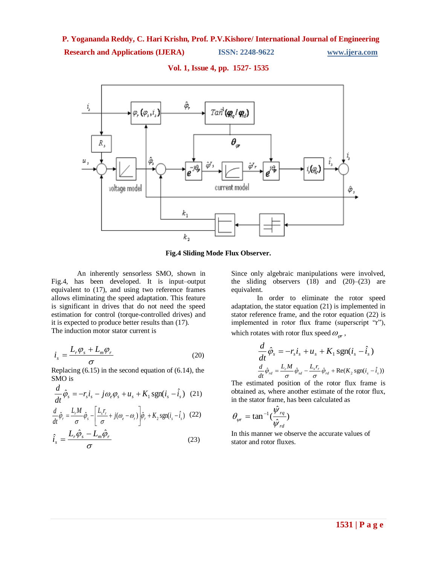# **Research and Applications (IJERA) ISSN: 2248-9622 www.ijera.com**



#### **Vol. 1, Issue 4, pp. 1527- 1535**

**Fig.4 Sliding Mode Flux Observer.**

An inherently sensorless SMO, shown in Fig.4, has been developed. It is input–output equivalent to (17), and using two reference frames allows eliminating the speed adaptation. This feature is significant in drives that do not need the speed estimation for control (torque-controlled drives) and it is expected to produce better results than (17). The induction motor stator current is

$$
i_s = \frac{L_r \varphi_s + L_m \varphi_r}{\sigma} \tag{20}
$$

Replacing  $(6.15)$  in the second equation of  $(6.14)$ , the SMO is

$$
\frac{d}{dt}\hat{\varphi}_s = -r_s i_s - j\omega_e \varphi_s + u_s + K_1 \operatorname{sgn}(i_s - \hat{i}_s) \quad (21)
$$

$$
\frac{d}{dt}\hat{\varphi}_r = \frac{L_r M}{\sigma}\hat{\varphi}_s - \left[\frac{L_s r_r}{\sigma} + j(\omega_e - \omega_r)\right]\hat{\varphi}_r + K_2 \operatorname{sgn}(i_s - \hat{i}_s) \quad (22)
$$

$$
\hat{i}_s = \frac{L_r \hat{\phi}_s - L_m \hat{\phi}_r}{\sigma} \tag{23}
$$

Since only algebraic manipulations were involved, the sliding observers  $(18)$  and  $(20)$ – $(23)$  are equivalent.

In order to eliminate the rotor speed adaptation, the stator equation (21) is implemented in stator reference frame, and the rotor equation (22) is implemented in rotor flux frame (superscript "r"), which rotates with rotor flux speed  $\omega_{\scriptscriptstyle\!{qr}}$  ,

$$
\frac{d}{dt}\hat{\varphi}_s = -r_s i_s + u_s + K_1 \operatorname{sgn}(i_s - \hat{i}_s)
$$

$$
\frac{d}{dt}\hat{\varphi}_{rd} = \frac{L_r M}{\sigma} \hat{\varphi}_{sd} - \frac{L_s r_r}{\sigma} \hat{\varphi}_{rd} + \operatorname{Re}(K_2 \operatorname{sgn}(i_s - \hat{i}_s))
$$

The estimated position of the rotor flux frame is obtained as, where another estimate of the rotor flux, in the stator frame, has been calculated as

$$
\theta_{\psi r} = \tan^{-1}(\frac{\hat{\psi}_{rq}}{\hat{\psi}_{rd}})
$$

In this manner we observe the accurate values of stator and rotor fluxes.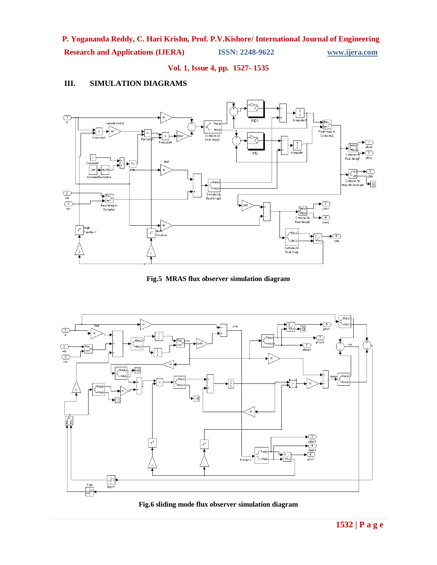**Research and Applications (IJERA) ISSN: 2248-9622 www.ijera.com**

**Vol. 1, Issue 4, pp. 1527- 1535**

# **III. SIMULATION DIAGRAMS**



**Fig.5 MRAS flux observer simulation diagram**



**Fig.6 sliding mode flux observer simulation diagram**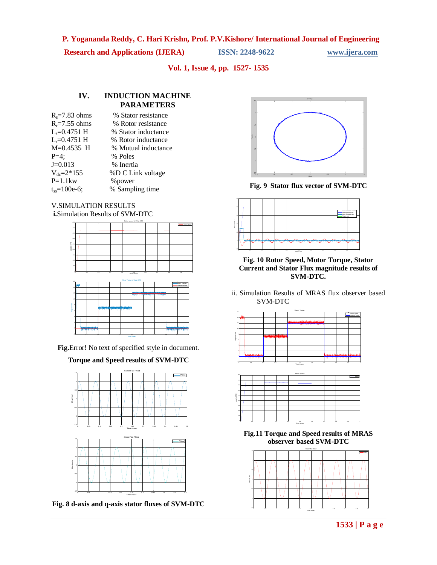**Research and Applications (IJERA) ISSN: 2248-9622 www.ijera.com**

**Vol. 1, Issue 4, pp. 1527- 1535**

# **IV. INDUCTION MACHINE PARAMETERS**

| $R_s = 7.83$ ohms     | % Stator resistance |
|-----------------------|---------------------|
| $R_r = 7.55$ ohms     | % Rotor resistance  |
| $L_s = 0.4751$ H      | % Stator inductance |
| $L_r = 0.4751$ H      | % Rotor inductance  |
| $M=0.4535$ H          | % Mutual inductance |
| $P=4$ :               | % Poles             |
| $J=0.013$             | % Inertia           |
| $V_{dc} = 2*155$      | %D C Link voltage   |
| $P=1.1$ kw            | % power             |
| $t_{\rm sc}=100e-6$ ; | % Sampling time     |
|                       |                     |





**Fig.**Error! No text of specified style in document.

**Torque and Speed results of SVM-DTC**



**Fig. 8 d-axis and q-axis stator fluxes of SVM-DTC**



**Fig. 9 Stator flux vector of SVM-DTC**



**Fig. 10 Rotor Speed, Motor Torque, Stator Current and Stator Flux magnitude results of SVM-DTC.**

ii. Simulation Results of MRAS flux observer based SVM-DTC





**Fig.11 Torque and Speed results of MRAS observer based SVM-DTC**

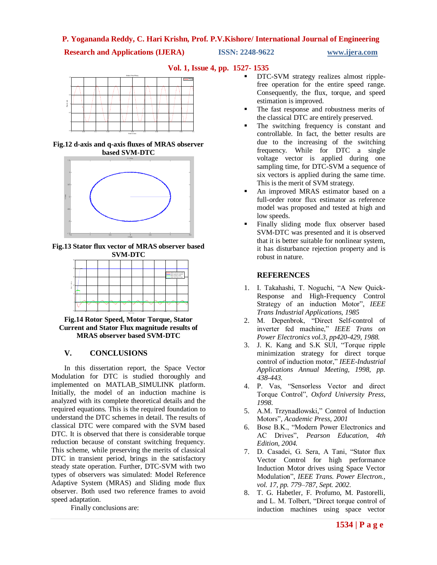**Research and Applications (IJERA)** ISSN: 2248-9622 www.ijera.com

**Vol. 1, Issue 4, pp. 1527- 1535**



**Fig.12 d-axis and q-axis fluxes of MRAS observer based SVM-DTC**



**Fig.13 Stator flux vector of MRAS observer based SVM-DTC**



**Fig.14 Rotor Speed, Motor Torque, Stator Current and Stator Flux magnitude results of MRAS observer based SVM-DTC**

# **V. CONCLUSIONS**

In this dissertation report, the Space Vector Modulation for DTC is studied thoroughly and implemented on MATLAB\_SIMULINK platform. Initially, the model of an induction machine is analyzed with its complete theoretical details and the required equations. This is the required foundation to understand the DTC schemes in detail. The results of classical DTC were compared with the SVM based DTC. It is observed that there is considerable torque reduction because of constant switching frequency. This scheme, while preserving the merits of classical DTC in transient period, brings in the satisfactory steady state operation. Further, DTC-SVM with two types of observers was simulated: Model Reference Adaptive System (MRAS) and Sliding mode flux observer. Both used two reference frames to avoid speed adaptation.

Finally conclusions are:

- DTC-SVM strategy realizes almost ripplefree operation for the entire speed range. Consequently, the flux, torque, and speed estimation is improved.
- The fast response and robustness merits of the classical DTC are entirely preserved.
- The switching frequency is constant and controllable. In fact, the better results are due to the increasing of the switching frequency. While for DTC a single voltage vector is applied during one sampling time, for DTC-SVM a sequence of six vectors is applied during the same time. This is the merit of SVM strategy.
- An improved MRAS estimator based on a full-order rotor flux estimator as reference model was proposed and tested at high and low speeds.
- Finally sliding mode flux observer based SVM-DTC was presented and it is observed that it is better suitable for nonlinear system, it has disturbance rejection property and is robust in nature.

### **REFERENCES**

- 1. I. Takahashi, T. Noguchi, "A New Quick-Response and High-Frequency Control Strategy of an induction Motor", *IEEE Trans Industrial Applications, 1985*
- 2. M. Depenbrok, "Direct Self-control of inverter fed machine," *IEEE Trans on Power Electronics vol.3, pp420-429, 1988.*
- 3. J. K. Kang and S.K SUI, "Torque ripple minimization strategy for direct torque control of induction motor," *IEEE-Industrial Applications Annual Meeting, 1998, pp. 438-443.*
- 4. P. Vas, "Sensorless Vector and direct Torque Control", *Oxford University Press, 1998.*
- 5. A.M. Trzynadlowski," Control of Induction Motors"*, Academic Press, 2001*
- 6. Bose B.K., "Modern Power Electronics and AC Drives", *Pearson Education, 4th Edition, 2004.*
- 7. D. Casadei, G. Sera, A Tani, "Stator flux Vector Control for high performance Induction Motor drives using Space Vector Modulation", *IEEE Trans. Power Electron., vol. 17, pp. 779–787, Sept. 2002.*
- 8. T. G. Habetler, F. Profumo, M. Pastorelli, and L. M. Tolbert, "Direct torque control of induction machines using space vector